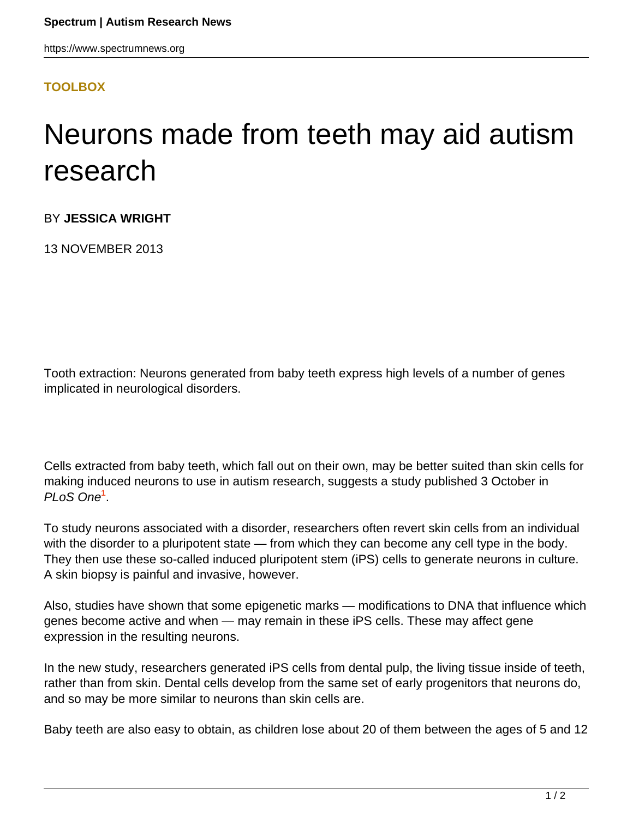## **[TOOLBOX](HTTPS://WWW.SPECTRUMNEWS.ORG/NEWS/TOOLBOX/)**

## Neurons made from teeth may aid autism research

BY **JESSICA WRIGHT**

13 NOVEMBER 2013

Tooth extraction: Neurons generated from baby teeth express high levels of a number of genes implicated in neurological disorders.

Cells extracted from baby teeth, which fall out on their own, may be better suited than skin cells for making induced neurons to use in autism research, suggests a study published 3 October in PLoS One**<sup>1</sup>** .

To study neurons associated with a disorder, researchers often revert skin cells from an individual with the disorder to a pluripotent state — from which they can become any cell type in the body. They then use these so-called induced pluripotent stem (iPS) cells to generate neurons in culture. A skin biopsy is painful and invasive, however.

Also, studies have shown that some epigenetic marks — modifications to DNA that influence which genes become active and when — may remain in these iPS cells. These may affect gene expression in the resulting neurons.

In the new study, researchers generated iPS cells from dental pulp, the living tissue inside of teeth, rather than from skin. Dental cells develop from the same set of early progenitors that neurons do, and so may be more similar to neurons than skin cells are.

Baby teeth are also easy to obtain, as children lose about 20 of them between the ages of 5 and 12